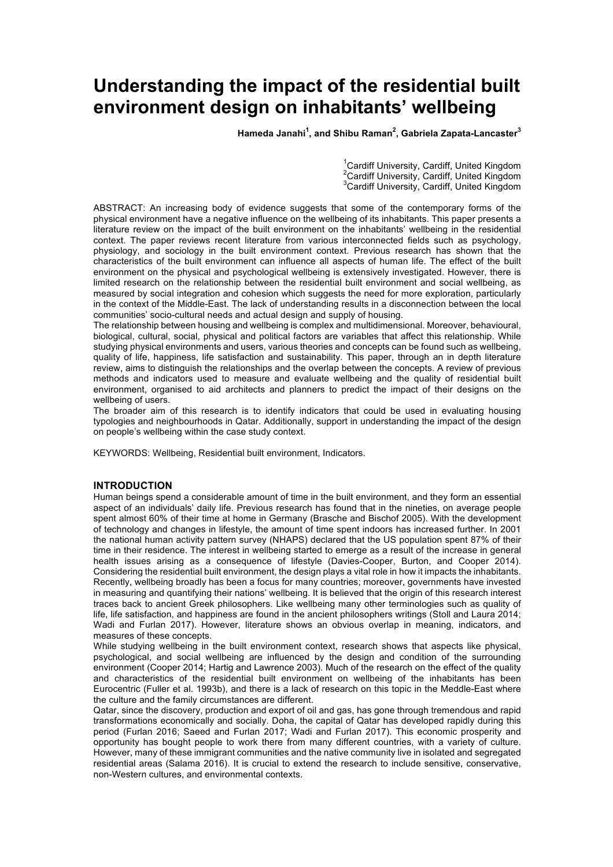# **Understanding the impact of the residential built environment design on inhabitants' wellbeing**

**Hameda Janahi<sup>1</sup> , and Shibu Raman<sup>2</sup> , Gabriela Zapata-Lancaster<sup>3</sup>**

<sup>1</sup>Cardiff University, Cardiff, United Kingdom <sup>2</sup> Cardiff University, Cardiff, United Kingdom <sup>3</sup>Cardiff University, Cardiff, United Kingdom

ABSTRACT: An increasing body of evidence suggests that some of the contemporary forms of the physical environment have a negative influence on the wellbeing of its inhabitants. This paper presents a literature review on the impact of the built environment on the inhabitants' wellbeing in the residential context. The paper reviews recent literature from various interconnected fields such as psychology, physiology, and sociology in the built environment context. Previous research has shown that the characteristics of the built environment can influence all aspects of human life. The effect of the built environment on the physical and psychological wellbeing is extensively investigated. However, there is limited research on the relationship between the residential built environment and social wellbeing, as measured by social integration and cohesion which suggests the need for more exploration, particularly in the context of the Middle-East. The lack of understanding results in a disconnection between the local communities' socio-cultural needs and actual design and supply of housing.

The relationship between housing and wellbeing is complex and multidimensional. Moreover, behavioural, biological, cultural, social, physical and political factors are variables that affect this relationship. While studying physical environments and users, various theories and concepts can be found such as wellbeing, quality of life, happiness, life satisfaction and sustainability. This paper, through an in depth literature review, aims to distinguish the relationships and the overlap between the concepts. A review of previous methods and indicators used to measure and evaluate wellbeing and the quality of residential built environment, organised to aid architects and planners to predict the impact of their designs on the wellbeing of users.

The broader aim of this research is to identify indicators that could be used in evaluating housing typologies and neighbourhoods in Qatar. Additionally, support in understanding the impact of the design on people's wellbeing within the case study context.

KEYWORDS: Wellbeing, Residential built environment, Indicators.

#### **INTRODUCTION**

Human beings spend a considerable amount of time in the built environment, and they form an essential aspect of an individuals' daily life. Previous research has found that in the nineties, on average people spent almost 60% of their time at home in Germany (Brasche and Bischof 2005). With the development of technology and changes in lifestyle, the amount of time spent indoors has increased further. In 2001 the national human activity pattern survey (NHAPS) declared that the US population spent 87% of their time in their residence. The interest in wellbeing started to emerge as a result of the increase in general health issues arising as a consequence of lifestyle (Davies-Cooper, Burton, and Cooper 2014). Considering the residential built environment, the design plays a vital role in how it impacts the inhabitants. Recently, wellbeing broadly has been a focus for many countries; moreover, governments have invested in measuring and quantifying their nations' wellbeing. It is believed that the origin of this research interest traces back to ancient Greek philosophers. Like wellbeing many other terminologies such as quality of life, life satisfaction, and happiness are found in the ancient philosophers writings (Stoll and Laura 2014; Wadi and Furlan 2017). However, literature shows an obvious overlap in meaning, indicators, and measures of these concepts.

While studying wellbeing in the built environment context, research shows that aspects like physical, psychological, and social wellbeing are influenced by the design and condition of the surrounding environment (Cooper 2014; Hartig and Lawrence 2003). Much of the research on the effect of the quality and characteristics of the residential built environment on wellbeing of the inhabitants has been Eurocentric (Fuller et al. 1993b), and there is a lack of research on this topic in the Meddle-East where the culture and the family circumstances are different.

Qatar, since the discovery, production and export of oil and gas, has gone through tremendous and rapid transformations economically and socially. Doha, the capital of Qatar has developed rapidly during this period (Furlan 2016; Saeed and Furlan 2017; Wadi and Furlan 2017). This economic prosperity and opportunity has bought people to work there from many different countries, with a variety of culture. However, many of these immigrant communities and the native community live in isolated and segregated residential areas (Salama 2016). It is crucial to extend the research to include sensitive, conservative, non-Western cultures, and environmental contexts.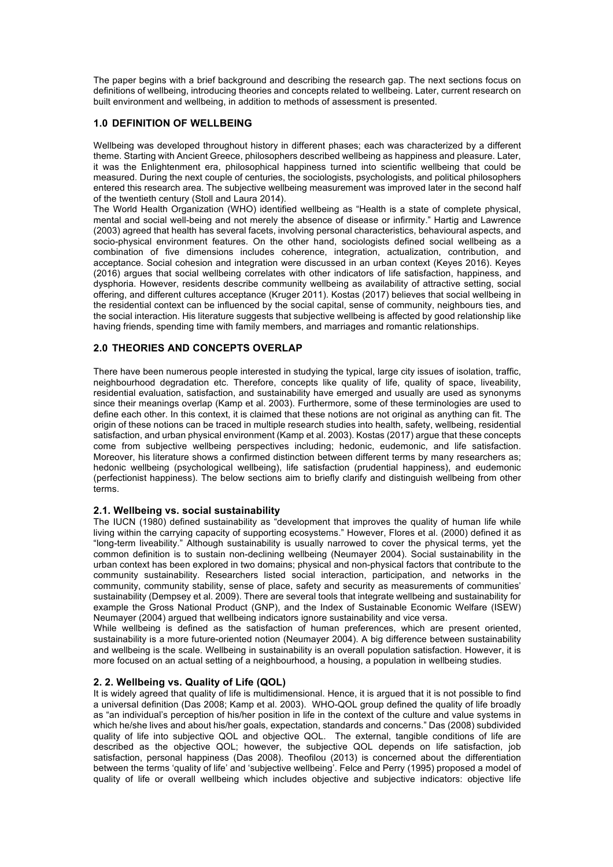The paper begins with a brief background and describing the research gap. The next sections focus on definitions of wellbeing, introducing theories and concepts related to wellbeing. Later, current research on built environment and wellbeing, in addition to methods of assessment is presented.

### **1.0 DEFINITION OF WELLBEING**

Wellbeing was developed throughout history in different phases; each was characterized by a different theme. Starting with Ancient Greece, philosophers described wellbeing as happiness and pleasure. Later, it was the Enlightenment era, philosophical happiness turned into scientific wellbeing that could be measured. During the next couple of centuries, the sociologists, psychologists, and political philosophers entered this research area. The subjective wellbeing measurement was improved later in the second half of the twentieth century (Stoll and Laura 2014).

The World Health Organization (WHO) identified wellbeing as "Health is a state of complete physical, mental and social well-being and not merely the absence of disease or infirmity." Hartig and Lawrence (2003) agreed that health has several facets, involving personal characteristics, behavioural aspects, and socio-physical environment features. On the other hand, sociologists defined social wellbeing as a combination of five dimensions includes coherence, integration, actualization, contribution, and acceptance. Social cohesion and integration were discussed in an urban context (Keyes 2016). Keyes (2016) argues that social wellbeing correlates with other indicators of life satisfaction, happiness, and dysphoria. However, residents describe community wellbeing as availability of attractive setting, social offering, and different cultures acceptance (Kruger 2011). Kostas (2017) believes that social wellbeing in the residential context can be influenced by the social capital, sense of community, neighbours ties, and the social interaction. His literature suggests that subjective wellbeing is affected by good relationship like having friends, spending time with family members, and marriages and romantic relationships.

### **2.0 THEORIES AND CONCEPTS OVERLAP**

There have been numerous people interested in studying the typical, large city issues of isolation, traffic, neighbourhood degradation etc. Therefore, concepts like quality of life, quality of space, liveability, residential evaluation, satisfaction, and sustainability have emerged and usually are used as synonyms since their meanings overlap (Kamp et al. 2003). Furthermore, some of these terminologies are used to define each other. In this context, it is claimed that these notions are not original as anything can fit. The origin of these notions can be traced in multiple research studies into health, safety, wellbeing, residential satisfaction, and urban physical environment (Kamp et al. 2003). Kostas (2017) argue that these concepts come from subjective wellbeing perspectives including; hedonic, eudemonic, and life satisfaction. Moreover, his literature shows a confirmed distinction between different terms by many researchers as; hedonic wellbeing (psychological wellbeing), life satisfaction (prudential happiness), and eudemonic (perfectionist happiness). The below sections aim to briefly clarify and distinguish wellbeing from other terms.

#### **2.1. Wellbeing vs. social sustainability**

The IUCN (1980) defined sustainability as "development that improves the quality of human life while living within the carrying capacity of supporting ecosystems." However, Flores et al. (2000) defined it as "long-term liveability." Although sustainability is usually narrowed to cover the physical terms, yet the common definition is to sustain non-declining wellbeing (Neumayer 2004). Social sustainability in the urban context has been explored in two domains; physical and non-physical factors that contribute to the community sustainability. Researchers listed social interaction, participation, and networks in the community, community stability, sense of place, safety and security as measurements of communities' sustainability (Dempsey et al. 2009). There are several tools that integrate wellbeing and sustainability for example the Gross National Product (GNP), and the Index of Sustainable Economic Welfare (ISEW) Neumayer (2004) argued that wellbeing indicators ignore sustainability and vice versa.

While wellbeing is defined as the satisfaction of human preferences, which are present oriented, sustainability is a more future-oriented notion (Neumayer 2004). A big difference between sustainability and wellbeing is the scale. Wellbeing in sustainability is an overall population satisfaction. However, it is more focused on an actual setting of a neighbourhood, a housing, a population in wellbeing studies.

#### **2. 2. Wellbeing vs. Quality of Life (QOL)**

It is widely agreed that quality of life is multidimensional. Hence, it is argued that it is not possible to find a universal definition (Das 2008; Kamp et al. 2003). WHO-QOL group defined the quality of life broadly as "an individual's perception of his/her position in life in the context of the culture and value systems in which he/she lives and about his/her goals, expectation, standards and concerns." Das (2008) subdivided quality of life into subjective QOL and objective QOL. The external, tangible conditions of life are described as the objective QOL; however, the subjective QOL depends on life satisfaction, job satisfaction, personal happiness (Das 2008). Theofilou (2013) is concerned about the differentiation between the terms 'quality of life' and 'subjective wellbeing'. Felce and Perry (1995) proposed a model of quality of life or overall wellbeing which includes objective and subjective indicators: objective life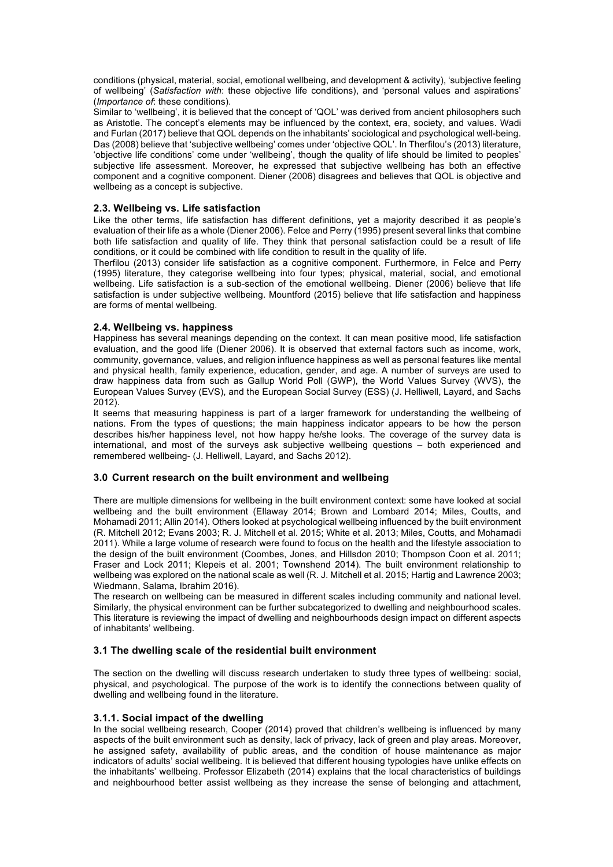conditions (physical, material, social, emotional wellbeing, and development & activity), 'subjective feeling of wellbeing' (*Satisfaction with*: these objective life conditions), and 'personal values and aspirations' (*Importance of*: these conditions).

Similar to 'wellbeing', it is believed that the concept of 'QOL' was derived from ancient philosophers such as Aristotle. The concept's elements may be influenced by the context, era, society, and values. Wadi and Furlan (2017) believe that QOL depends on the inhabitants' sociological and psychological well-being. Das (2008) believe that 'subjective wellbeing' comes under 'objective QOL'. In Therfilou's (2013) literature, 'objective life conditions' come under 'wellbeing', though the quality of life should be limited to peoples' subjective life assessment. Moreover, he expressed that subjective wellbeing has both an effective component and a cognitive component. Diener (2006) disagrees and believes that QOL is objective and wellbeing as a concept is subjective.

## **2.3. Wellbeing vs. Life satisfaction**

Like the other terms, life satisfaction has different definitions, yet a majority described it as people's evaluation of their life as a whole (Diener 2006). Felce and Perry (1995) present several links that combine both life satisfaction and quality of life. They think that personal satisfaction could be a result of life conditions, or it could be combined with life condition to result in the quality of life.

Therfilou (2013) consider life satisfaction as a cognitive component. Furthermore, in Felce and Perry (1995) literature, they categorise wellbeing into four types; physical, material, social, and emotional wellbeing. Life satisfaction is a sub-section of the emotional wellbeing. Diener (2006) believe that life satisfaction is under subjective wellbeing. Mountford (2015) believe that life satisfaction and happiness are forms of mental wellbeing.

### **2.4. Wellbeing vs. happiness**

Happiness has several meanings depending on the context. It can mean positive mood, life satisfaction evaluation, and the good life (Diener 2006). It is observed that external factors such as income, work, community, governance, values, and religion influence happiness as well as personal features like mental and physical health, family experience, education, gender, and age. A number of surveys are used to draw happiness data from such as Gallup World Poll (GWP), the World Values Survey (WVS), the European Values Survey (EVS), and the European Social Survey (ESS) (J. Helliwell, Layard, and Sachs 2012).

It seems that measuring happiness is part of a larger framework for understanding the wellbeing of nations. From the types of questions; the main happiness indicator appears to be how the person describes his/her happiness level, not how happy he/she looks. The coverage of the survey data is international, and most of the surveys ask subjective wellbeing questions – both experienced and remembered wellbeing- (J. Helliwell, Layard, and Sachs 2012).

#### **3.0 Current research on the built environment and wellbeing**

There are multiple dimensions for wellbeing in the built environment context: some have looked at social wellbeing and the built environment (Ellaway 2014; Brown and Lombard 2014; Miles, Coutts, and Mohamadi 2011; Allin 2014). Others looked at psychological wellbeing influenced by the built environment (R. Mitchell 2012; Evans 2003; R. J. Mitchell et al. 2015; White et al. 2013; Miles, Coutts, and Mohamadi 2011). While a large volume of research were found to focus on the health and the lifestyle association to the design of the built environment (Coombes, Jones, and Hillsdon 2010; Thompson Coon et al. 2011; Fraser and Lock 2011; Klepeis et al. 2001; Townshend 2014). The built environment relationship to wellbeing was explored on the national scale as well (R. J. Mitchell et al. 2015; Hartig and Lawrence 2003; Wiedmann, Salama, Ibrahim 2016).

The research on wellbeing can be measured in different scales including community and national level. Similarly, the physical environment can be further subcategorized to dwelling and neighbourhood scales. This literature is reviewing the impact of dwelling and neighbourhoods design impact on different aspects of inhabitants' wellbeing.

#### **3.1 The dwelling scale of the residential built environment**

The section on the dwelling will discuss research undertaken to study three types of wellbeing: social, physical, and psychological. The purpose of the work is to identify the connections between quality of dwelling and wellbeing found in the literature.

#### **3.1.1. Social impact of the dwelling**

In the social wellbeing research, Cooper (2014) proved that children's wellbeing is influenced by many aspects of the built environment such as density, lack of privacy, lack of green and play areas. Moreover, he assigned safety, availability of public areas, and the condition of house maintenance as major indicators of adults' social wellbeing. It is believed that different housing typologies have unlike effects on the inhabitants' wellbeing. Professor Elizabeth (2014) explains that the local characteristics of buildings and neighbourhood better assist wellbeing as they increase the sense of belonging and attachment,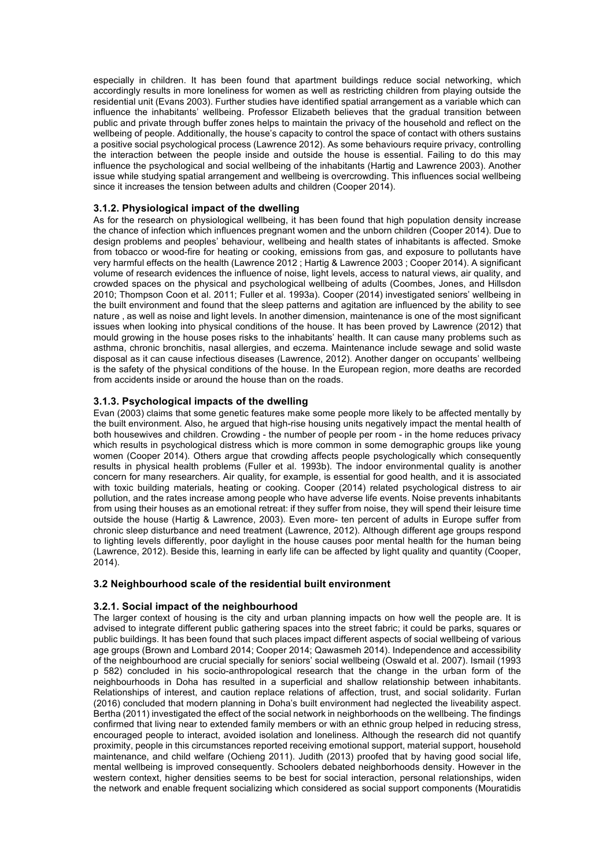especially in children. It has been found that apartment buildings reduce social networking, which accordingly results in more loneliness for women as well as restricting children from playing outside the residential unit (Evans 2003). Further studies have identified spatial arrangement as a variable which can influence the inhabitants' wellbeing. Professor Elizabeth believes that the gradual transition between public and private through buffer zones helps to maintain the privacy of the household and reflect on the wellbeing of people. Additionally, the house's capacity to control the space of contact with others sustains a positive social psychological process (Lawrence 2012). As some behaviours require privacy, controlling the interaction between the people inside and outside the house is essential. Failing to do this may influence the psychological and social wellbeing of the inhabitants (Hartig and Lawrence 2003). Another issue while studying spatial arrangement and wellbeing is overcrowding. This influences social wellbeing since it increases the tension between adults and children (Cooper 2014).

# **3.1.2. Physiological impact of the dwelling**

As for the research on physiological wellbeing, it has been found that high population density increase the chance of infection which influences pregnant women and the unborn children (Cooper 2014). Due to design problems and peoples' behaviour, wellbeing and health states of inhabitants is affected. Smoke from tobacco or wood-fire for heating or cooking, emissions from gas, and exposure to pollutants have very harmful effects on the health (Lawrence 2012 ; Hartig & Lawrence 2003 ; Cooper 2014). A significant volume of research evidences the influence of noise, light levels, access to natural views, air quality, and crowded spaces on the physical and psychological wellbeing of adults (Coombes, Jones, and Hillsdon 2010; Thompson Coon et al. 2011; Fuller et al. 1993a). Cooper (2014) investigated seniors' wellbeing in the built environment and found that the sleep patterns and agitation are influenced by the ability to see nature , as well as noise and light levels. In another dimension, maintenance is one of the most significant issues when looking into physical conditions of the house. It has been proved by Lawrence (2012) that mould growing in the house poses risks to the inhabitants' health. It can cause many problems such as asthma, chronic bronchitis, nasal allergies, and eczema. Maintenance include sewage and solid waste disposal as it can cause infectious diseases (Lawrence, 2012). Another danger on occupants' wellbeing is the safety of the physical conditions of the house. In the European region, more deaths are recorded from accidents inside or around the house than on the roads.

# **3.1.3. Psychological impacts of the dwelling**

Evan (2003) claims that some genetic features make some people more likely to be affected mentally by the built environment. Also, he argued that high-rise housing units negatively impact the mental health of both housewives and children. Crowding - the number of people per room - in the home reduces privacy which results in psychological distress which is more common in some demographic groups like young women (Cooper 2014). Others argue that crowding affects people psychologically which consequently results in physical health problems (Fuller et al. 1993b). The indoor environmental quality is another concern for many researchers. Air quality, for example, is essential for good health, and it is associated with toxic building materials, heating or cooking. Cooper (2014) related psychological distress to air pollution, and the rates increase among people who have adverse life events. Noise prevents inhabitants from using their houses as an emotional retreat: if they suffer from noise, they will spend their leisure time outside the house (Hartig & Lawrence, 2003). Even more- ten percent of adults in Europe suffer from chronic sleep disturbance and need treatment (Lawrence, 2012). Although different age groups respond to lighting levels differently, poor daylight in the house causes poor mental health for the human being (Lawrence, 2012). Beside this, learning in early life can be affected by light quality and quantity (Cooper, 2014).

# **3.2 Neighbourhood scale of the residential built environment**

# **3.2.1. Social impact of the neighbourhood**

The larger context of housing is the city and urban planning impacts on how well the people are. It is advised to integrate different public gathering spaces into the street fabric; it could be parks, squares or public buildings. It has been found that such places impact different aspects of social wellbeing of various age groups (Brown and Lombard 2014; Cooper 2014; Qawasmeh 2014). Independence and accessibility of the neighbourhood are crucial specially for seniors' social wellbeing (Oswald et al. 2007). Ismail (1993 p 582) concluded in his socio-anthropological research that the change in the urban form of the neighbourhoods in Doha has resulted in a superficial and shallow relationship between inhabitants. Relationships of interest, and caution replace relations of affection, trust, and social solidarity. Furlan (2016) concluded that modern planning in Doha's built environment had neglected the liveability aspect. Bertha (2011) investigated the effect of the social network in neighborhoods on the wellbeing. The findings confirmed that living near to extended family members or with an ethnic group helped in reducing stress, encouraged people to interact, avoided isolation and loneliness. Although the research did not quantify proximity, people in this circumstances reported receiving emotional support, material support, household maintenance, and child welfare (Ochieng 2011). Judith (2013) proofed that by having good social life, mental wellbeing is improved consequently. Schoolers debated neighborhoods density. However in the western context, higher densities seems to be best for social interaction, personal relationships, widen the network and enable frequent socializing which considered as social support components (Mouratidis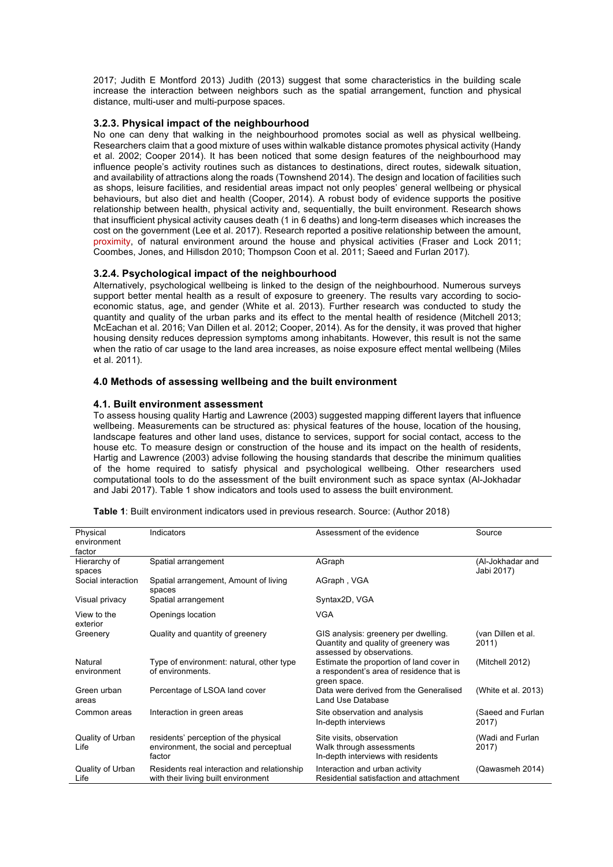2017; Judith E Montford 2013) Judith (2013) suggest that some characteristics in the building scale increase the interaction between neighbors such as the spatial arrangement, function and physical distance, multi-user and multi-purpose spaces.

# **3.2.3. Physical impact of the neighbourhood**

No one can deny that walking in the neighbourhood promotes social as well as physical wellbeing. Researchers claim that a good mixture of uses within walkable distance promotes physical activity (Handy et al. 2002; Cooper 2014). It has been noticed that some design features of the neighbourhood may influence people's activity routines such as distances to destinations, direct routes, sidewalk situation, and availability of attractions along the roads (Townshend 2014). The design and location of facilities such as shops, leisure facilities, and residential areas impact not only peoples' general wellbeing or physical behaviours, but also diet and health (Cooper, 2014). A robust body of evidence supports the positive relationship between health, physical activity and, sequentially, the built environment. Research shows that insufficient physical activity causes death (1 in 6 deaths) and long-term diseases which increases the cost on the government (Lee et al. 2017). Research reported a positive relationship between the amount, proximity, of natural environment around the house and physical activities (Fraser and Lock 2011; Coombes, Jones, and Hillsdon 2010; Thompson Coon et al. 2011; Saeed and Furlan 2017).

# **3.2.4. Psychological impact of the neighbourhood**

Alternatively, psychological wellbeing is linked to the design of the neighbourhood. Numerous surveys support better mental health as a result of exposure to greenery. The results vary according to socioeconomic status, age, and gender (White et al. 2013). Further research was conducted to study the quantity and quality of the urban parks and its effect to the mental health of residence (Mitchell 2013; McEachan et al. 2016; Van Dillen et al. 2012; Cooper, 2014). As for the density, it was proved that higher housing density reduces depression symptoms among inhabitants. However, this result is not the same when the ratio of car usage to the land area increases, as noise exposure effect mental wellbeing (Miles et al. 2011).

### **4.0 Methods of assessing wellbeing and the built environment**

### **4.1. Built environment assessment**

To assess housing quality Hartig and Lawrence (2003) suggested mapping different layers that influence wellbeing. Measurements can be structured as: physical features of the house, location of the housing, landscape features and other land uses, distance to services, support for social contact, access to the house etc. To measure design or construction of the house and its impact on the health of residents, Hartig and Lawrence (2003) advise following the housing standards that describe the minimum qualities of the home required to satisfy physical and psychological wellbeing. Other researchers used computational tools to do the assessment of the built environment such as space syntax (Al-Jokhadar and Jabi 2017). Table 1 show indicators and tools used to assess the built environment.

| Physical           | Indicators                                                   | Assessment of the evidence                                                           | Source                      |
|--------------------|--------------------------------------------------------------|--------------------------------------------------------------------------------------|-----------------------------|
| environment        |                                                              |                                                                                      |                             |
| factor             |                                                              |                                                                                      |                             |
| Hierarchy of       | Spatial arrangement                                          | AGraph                                                                               | (Al-Jokhadar and            |
| spaces             |                                                              |                                                                                      | Jabi 2017)                  |
| Social interaction | Spatial arrangement, Amount of living<br>spaces              | AGraph, VGA                                                                          |                             |
| Visual privacy     | Spatial arrangement                                          | Syntax2D, VGA                                                                        |                             |
| View to the        | Openings location                                            | <b>VGA</b>                                                                           |                             |
| exterior           |                                                              |                                                                                      |                             |
| Greenery           | Quality and quantity of greenery                             | GIS analysis: greenery per dwelling.<br>Quantity and quality of greenery was         | (van Dillen et al.<br>2011) |
| Natural            |                                                              | assessed by observations.                                                            |                             |
| environment        | Type of environment: natural, other type<br>of environments. | Estimate the proportion of land cover in<br>a respondent's area of residence that is | (Mitchell 2012)             |
|                    |                                                              | green space.                                                                         |                             |
| Green urban        | Percentage of LSOA land cover                                | Data were derived from the Generalised                                               | (White et al. 2013)         |
| areas              |                                                              | Land Use Database                                                                    |                             |
| Common areas       | Interaction in green areas                                   | Site observation and analysis                                                        | (Saeed and Furlan           |
|                    |                                                              | In-depth interviews                                                                  | 2017)                       |
| Quality of Urban   | residents' perception of the physical                        | Site visits, observation                                                             | (Wadi and Furlan            |
| Life               | environment, the social and perceptual                       | Walk through assessments                                                             | 2017)                       |
|                    | factor                                                       | In-depth interviews with residents                                                   |                             |
| Quality of Urban   | Residents real interaction and relationship                  | Interaction and urban activity                                                       | (Qawasmeh 2014)             |
| Life               | with their living built environment                          | Residential satisfaction and attachment                                              |                             |

**Table 1**: Built environment indicators used in previous research. Source: (Author 2018)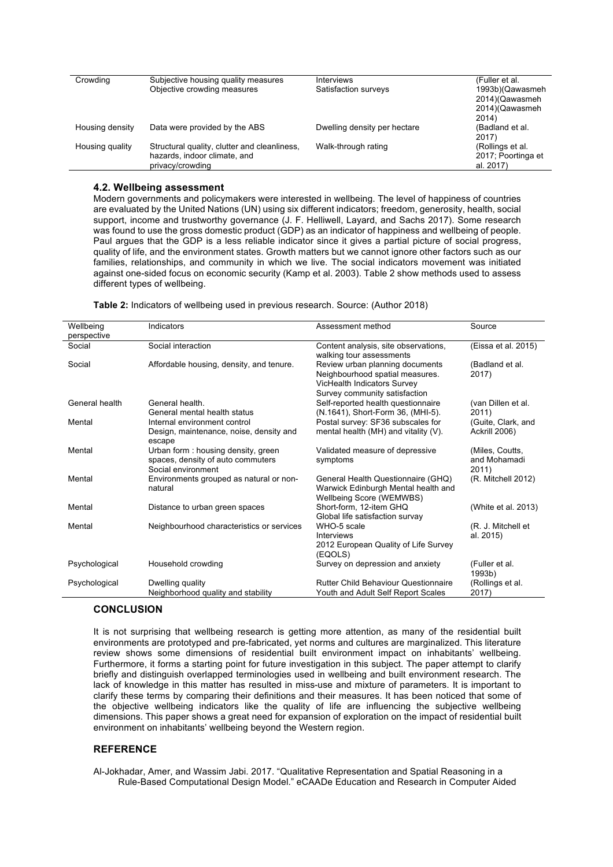| Crowding        | Subjective housing quality measures          | <b>Interviews</b>            | (Fuller et al.           |
|-----------------|----------------------------------------------|------------------------------|--------------------------|
|                 | Objective crowding measures                  | Satisfaction surveys         | 1993b)(Qawasmeh          |
|                 |                                              |                              | 2014)(Qawasmeh           |
|                 |                                              |                              | 2014)(Qawasmeh           |
|                 |                                              |                              | 2014)                    |
| Housing density | Data were provided by the ABS                | Dwelling density per hectare | (Badland et al.<br>2017) |
| Housing quality | Structural quality, clutter and cleanliness, | Walk-through rating          | (Rollings et al.         |
|                 | hazards, indoor climate, and                 |                              | 2017; Poortinga et       |
|                 | privacy/crowding                             |                              | al. 2017)                |

## **4.2. Wellbeing assessment**

Modern governments and policymakers were interested in wellbeing. The level of happiness of countries are evaluated by the United Nations (UN) using six different indicators; freedom, generosity, health, social support, income and trustworthy governance (J. F. Helliwell, Layard, and Sachs 2017). Some research was found to use the gross domestic product (GDP) as an indicator of happiness and wellbeing of people. Paul argues that the GDP is a less reliable indicator since it gives a partial picture of social progress, quality of life, and the environment states. Growth matters but we cannot ignore other factors such as our families, relationships, and community in which we live. The social indicators movement was initiated against one-sided focus on economic security (Kamp et al. 2003). Table 2 show methods used to assess different types of wellbeing.

| Wellbeing      | Indicators                                                                                    | Assessment method                                                                                                                  | Source                                   |
|----------------|-----------------------------------------------------------------------------------------------|------------------------------------------------------------------------------------------------------------------------------------|------------------------------------------|
| perspective    |                                                                                               |                                                                                                                                    |                                          |
| Social         | Social interaction                                                                            | Content analysis, site observations,<br>walking tour assessments                                                                   | (Eissa et al. 2015)                      |
| Social         | Affordable housing, density, and tenure.                                                      | Review urban planning documents<br>Neighbourhood spatial measures.<br>VicHealth Indicators Survey<br>Survey community satisfaction | (Badland et al.<br>2017)                 |
| General health | General health.<br>General mental health status                                               | Self-reported health questionnaire<br>(N.1641), Short-Form 36, (MHI-5).                                                            | (van Dillen et al.<br>2011)              |
| Mental         | Internal environment control<br>Design, maintenance, noise, density and<br>escape             | Postal survey: SF36 subscales for<br>mental health (MH) and vitality (V).                                                          | (Guite, Clark, and<br>Ackrill 2006)      |
| Mental         | Urban form: housing density, green<br>spaces, density of auto commuters<br>Social environment | Validated measure of depressive<br>symptoms                                                                                        | (Miles, Coutts,<br>and Mohamadi<br>2011) |
| Mental         | Environments grouped as natural or non-<br>natural                                            | General Health Questionnaire (GHQ)<br>Warwick Edinburgh Mental health and<br>Wellbeing Score (WEMWBS)                              | (R. Mitchell 2012)                       |
| Mental         | Distance to urban green spaces                                                                | Short-form, 12-item GHQ<br>Global life satisfaction survay                                                                         | (White et al. 2013)                      |
| Mental         | Neighbourhood characteristics or services                                                     | WHO-5 scale<br>Interviews<br>2012 European Quality of Life Survey<br>(EQOLS)                                                       | (R. J. Mitchell et<br>al. 2015)          |
| Psychological  | Household crowding                                                                            | Survey on depression and anxiety                                                                                                   | (Fuller et al.<br>1993b)                 |
| Psychological  | Dwelling quality<br>Neighborhood quality and stability                                        | <b>Rutter Child Behaviour Questionnaire</b><br>Youth and Adult Self Report Scales                                                  | (Rollings et al.<br>2017)                |

# **CONCLUSION**

It is not surprising that wellbeing research is getting more attention, as many of the residential built environments are prototyped and pre-fabricated, yet norms and cultures are marginalized. This literature review shows some dimensions of residential built environment impact on inhabitants' wellbeing. Furthermore, it forms a starting point for future investigation in this subject. The paper attempt to clarify briefly and distinguish overlapped terminologies used in wellbeing and built environment research. The lack of knowledge in this matter has resulted in miss-use and mixture of parameters. It is important to clarify these terms by comparing their definitions and their measures. It has been noticed that some of the objective wellbeing indicators like the quality of life are influencing the subjective wellbeing dimensions. This paper shows a great need for expansion of exploration on the impact of residential built environment on inhabitants' wellbeing beyond the Western region.

# **REFERENCE**

Al-Jokhadar, Amer, and Wassim Jabi. 2017. "Qualitative Representation and Spatial Reasoning in a Rule-Based Computational Design Model." eCAADe Education and Research in Computer Aided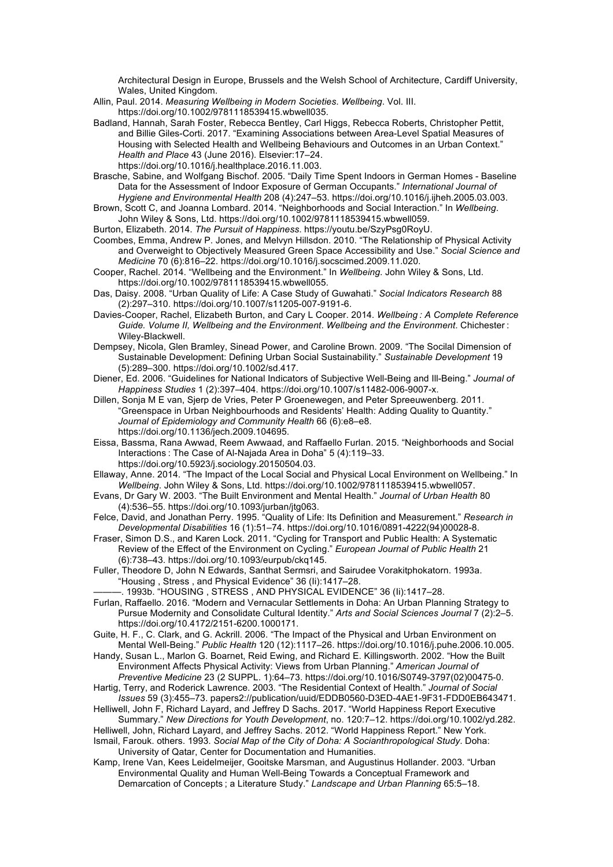Architectural Design in Europe, Brussels and the Welsh School of Architecture, Cardiff University, Wales, United Kingdom.

- Allin, Paul. 2014. *Measuring Wellbeing in Modern Societies*. *Wellbeing*. Vol. III. https://doi.org/10.1002/9781118539415.wbwell035.
- Badland, Hannah, Sarah Foster, Rebecca Bentley, Carl Higgs, Rebecca Roberts, Christopher Pettit, and Billie Giles-Corti. 2017. "Examining Associations between Area-Level Spatial Measures of Housing with Selected Health and Wellbeing Behaviours and Outcomes in an Urban Context." *Health and Place* 43 (June 2016). Elsevier:17–24. https://doi.org/10.1016/j.healthplace.2016.11.003.
- Brasche, Sabine, and Wolfgang Bischof. 2005. "Daily Time Spent Indoors in German Homes Baseline Data for the Assessment of Indoor Exposure of German Occupants." *International Journal of Hygiene and Environmental Health* 208 (4):247–53. https://doi.org/10.1016/j.ijheh.2005.03.003.
- Brown, Scott C, and Joanna Lombard. 2014. "Neighborhoods and Social Interaction." In *Wellbeing*. John Wiley & Sons, Ltd. https://doi.org/10.1002/9781118539415.wbwell059.
- Burton, Elizabeth. 2014. *The Pursuit of Happiness*. https://youtu.be/SzyPsg0RoyU.
- Coombes, Emma, Andrew P. Jones, and Melvyn Hillsdon. 2010. "The Relationship of Physical Activity and Overweight to Objectively Measured Green Space Accessibility and Use." *Social Science and Medicine* 70 (6):816–22. https://doi.org/10.1016/j.socscimed.2009.11.020.
- Cooper, Rachel. 2014. "Wellbeing and the Environment." In *Wellbeing*. John Wiley & Sons, Ltd. https://doi.org/10.1002/9781118539415.wbwell055.
- Das, Daisy. 2008. "Urban Quality of Life: A Case Study of Guwahati." *Social Indicators Research* 88 (2):297–310. https://doi.org/10.1007/s11205-007-9191-6.
- Davies-Cooper, Rachel, Elizabeth Burton, and Cary L Cooper. 2014. *Wellbeing : A Complete Reference Guide. Volume II, Wellbeing and the Environment*. *Wellbeing and the Environment*. Chichester : Wiley-Blackwell.
- Dempsey, Nicola, Glen Bramley, Sinead Power, and Caroline Brown. 2009. "The Socilal Dimension of Sustainable Development: Defining Urban Social Sustainability." *Sustainable Development* 19 (5):289–300. https://doi.org/10.1002/sd.417.
- Diener, Ed. 2006. "Guidelines for National Indicators of Subjective Well-Being and Ill-Being." *Journal of Happiness Studies* 1 (2):397–404. https://doi.org/10.1007/s11482-006-9007-x.
- Dillen, Sonja M E van, Sjerp de Vries, Peter P Groenewegen, and Peter Spreeuwenberg. 2011. "Greenspace in Urban Neighbourhoods and Residents' Health: Adding Quality to Quantity." *Journal of Epidemiology and Community Health* 66 (6):e8–e8. https://doi.org/10.1136/jech.2009.104695.
- Eissa, Bassma, Rana Awwad, Reem Awwaad, and Raffaello Furlan. 2015. "Neighborhoods and Social Interactions : The Case of Al-Najada Area in Doha" 5 (4):119–33. https://doi.org/10.5923/j.sociology.20150504.03.
- Ellaway, Anne. 2014. "The Impact of the Local Social and Physical Local Environment on Wellbeing." In *Wellbeing*. John Wiley & Sons, Ltd. https://doi.org/10.1002/9781118539415.wbwell057.
- Evans, Dr Gary W. 2003. "The Built Environment and Mental Health." *Journal of Urban Health* 80 (4):536–55. https://doi.org/10.1093/jurban/jtg063.
- Felce, David, and Jonathan Perry. 1995. "Quality of Life: Its Definition and Measurement." *Research in Developmental Disabilities* 16 (1):51–74. https://doi.org/10.1016/0891-4222(94)00028-8.
- Fraser, Simon D.S., and Karen Lock. 2011. "Cycling for Transport and Public Health: A Systematic Review of the Effect of the Environment on Cycling." *European Journal of Public Health* 21 (6):738–43. https://doi.org/10.1093/eurpub/ckq145.
- Fuller, Theodore D, John N Edwards, Santhat Sermsri, and Sairudee Vorakitphokatorn. 1993a. "Housing , Stress , and Physical Evidence" 36 (Ii):1417–28.
	- ———. 1993b. "HOUSING , STRESS , AND PHYSICAL EVIDENCE" 36 (Ii):1417–28.

Furlan, Raffaello. 2016. "Modern and Vernacular Settlements in Doha: An Urban Planning Strategy to Pursue Modernity and Consolidate Cultural Identity." *Arts and Social Sciences Journal* 7 (2):2–5. https://doi.org/10.4172/2151-6200.1000171.

- Guite, H. F., C. Clark, and G. Ackrill. 2006. "The Impact of the Physical and Urban Environment on Mental Well-Being." *Public Health* 120 (12):1117–26. https://doi.org/10.1016/j.puhe.2006.10.005.
- Handy, Susan L., Marlon G. Boarnet, Reid Ewing, and Richard E. Killingsworth. 2002. "How the Built Environment Affects Physical Activity: Views from Urban Planning." *American Journal of Preventive Medicine* 23 (2 SUPPL. 1):64–73. https://doi.org/10.1016/S0749-3797(02)00475-0.
- Hartig, Terry, and Roderick Lawrence. 2003. "The Residential Context of Health." *Journal of Social Issues* 59 (3):455–73. papers2://publication/uuid/EDDB0560-D3ED-4AE1-9F31-FDD0EB643471.
- Helliwell, John F, Richard Layard, and Jeffrey D Sachs. 2017. "World Happiness Report Executive Summary." *New Directions for Youth Development*, no. 120:7–12. https://doi.org/10.1002/yd.282.
- Helliwell, John, Richard Layard, and Jeffrey Sachs. 2012. "World Happiness Report." New York. Ismail, Farouk. others. 1993. *Social Map of the City of Doha: A Socianthropological Study*. Doha:
	- University of Qatar, Center for Documentation and Humanities.
- Kamp, Irene Van, Kees Leidelmeijer, Gooitske Marsman, and Augustinus Hollander. 2003. "Urban Environmental Quality and Human Well-Being Towards a Conceptual Framework and Demarcation of Concepts ; a Literature Study." *Landscape and Urban Planning* 65:5–18.